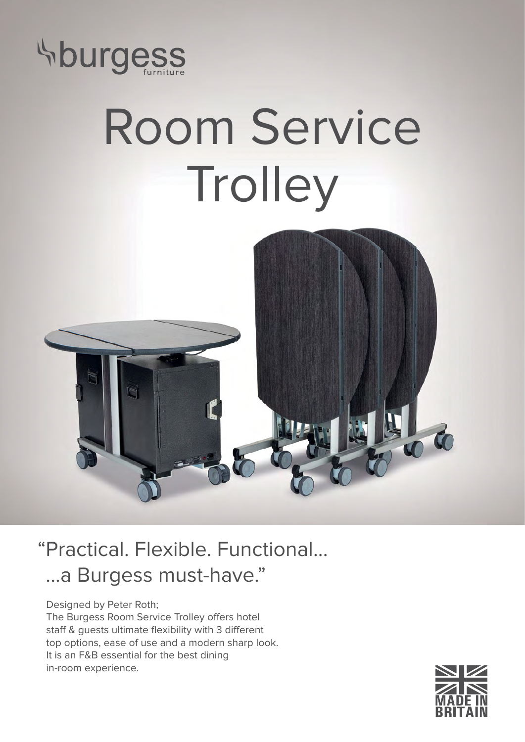

## Room Service Trolley



## "Practical. Flexible. Functional... ...a Burgess must-have."

Designed by Peter Roth; The Burgess Room Service Trolley offers hotel staff & guests ultimate flexibility with 3 different top options, ease of use and a modern sharp look. It is an F&B essential for the best dining in-room experience.